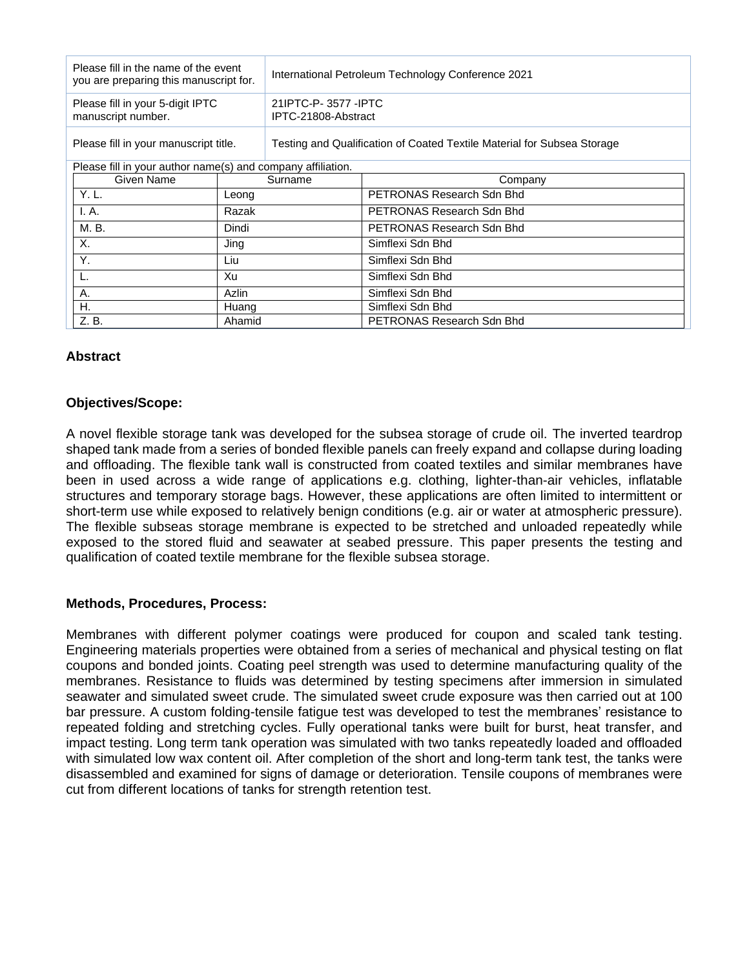| Please fill in the name of the event<br>you are preparing this manuscript for. |            |         | International Petroleum Technology Conference 2021                      |                           |  |
|--------------------------------------------------------------------------------|------------|---------|-------------------------------------------------------------------------|---------------------------|--|
| Please fill in your 5-digit IPTC<br>manuscript number.                         |            |         | 21 IPTC-P-3577 - IPTC<br>IPTC-21808-Abstract                            |                           |  |
| Please fill in your manuscript title.                                          |            |         | Testing and Qualification of Coated Textile Material for Subsea Storage |                           |  |
| Please fill in your author name(s) and company affiliation.                    |            |         |                                                                         |                           |  |
|                                                                                | Given Name | Surname |                                                                         | Company                   |  |
|                                                                                | Y. L.      | Leong   |                                                                         | PETRONAS Research Sdn Bhd |  |
|                                                                                | I. A.      | Razak   |                                                                         | PETRONAS Research Sdn Bhd |  |
|                                                                                | M. B.      | Dindi   |                                                                         | PETRONAS Research Sdn Bhd |  |
|                                                                                | Х.         | Jing    |                                                                         | Simflexi Sdn Bhd          |  |
|                                                                                | Υ.         | Liu     |                                                                         | Simflexi Sdn Bhd          |  |
|                                                                                |            | Xu      |                                                                         | Simflexi Sdn Bhd          |  |
|                                                                                | А.         | Azlin   |                                                                         | Simflexi Sdn Bhd          |  |
|                                                                                | Η.         | Huang   |                                                                         | Simflexi Sdn Bhd          |  |
|                                                                                | Z. B.      | Ahamid  |                                                                         | PETRONAS Research Sdn Bhd |  |

# **Abstract**

## **Objectives/Scope:**

A novel flexible storage tank was developed for the subsea storage of crude oil. The inverted teardrop shaped tank made from a series of bonded flexible panels can freely expand and collapse during loading and offloading. The flexible tank wall is constructed from coated textiles and similar membranes have been in used across a wide range of applications e.g. clothing, lighter-than-air vehicles, inflatable structures and temporary storage bags. However, these applications are often limited to intermittent or short-term use while exposed to relatively benign conditions (e.g. air or water at atmospheric pressure). The flexible subseas storage membrane is expected to be stretched and unloaded repeatedly while exposed to the stored fluid and seawater at seabed pressure. This paper presents the testing and qualification of coated textile membrane for the flexible subsea storage.

## **Methods, Procedures, Process:**

Membranes with different polymer coatings were produced for coupon and scaled tank testing. Engineering materials properties were obtained from a series of mechanical and physical testing on flat coupons and bonded joints. Coating peel strength was used to determine manufacturing quality of the membranes. Resistance to fluids was determined by testing specimens after immersion in simulated seawater and simulated sweet crude. The simulated sweet crude exposure was then carried out at 100 bar pressure. A custom folding-tensile fatigue test was developed to test the membranes' resistance to repeated folding and stretching cycles. Fully operational tanks were built for burst, heat transfer, and impact testing. Long term tank operation was simulated with two tanks repeatedly loaded and offloaded with simulated low wax content oil. After completion of the short and long-term tank test, the tanks were disassembled and examined for signs of damage or deterioration. Tensile coupons of membranes were cut from different locations of tanks for strength retention test.